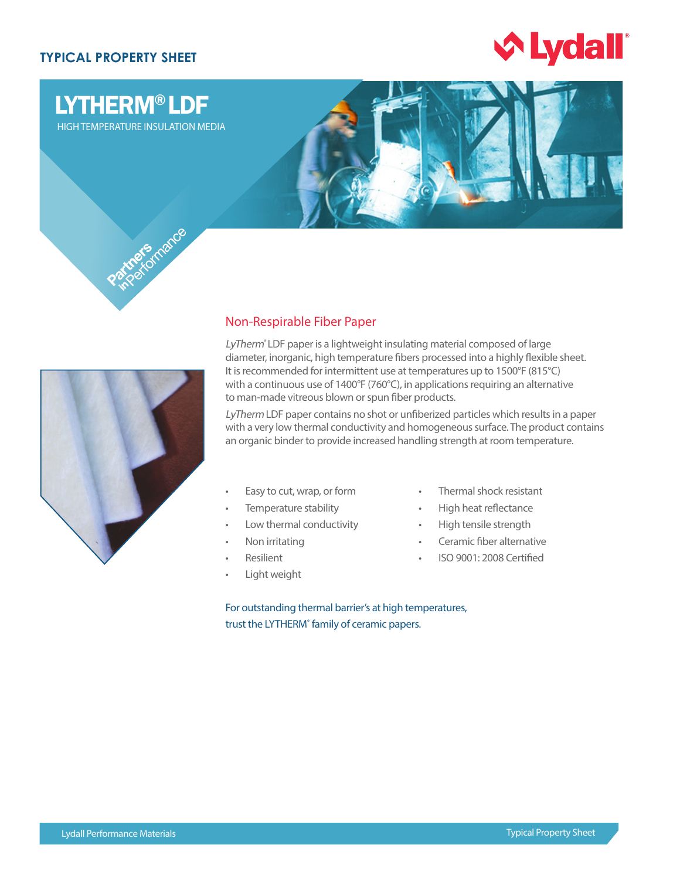## **TYPICAL PROPERTY SHEET**



# LYTHERM® LDF

HIGH TEMPERATURE INSULATION MEDIA





### Non-Respirable Fiber Paper

LyTherm<sup>®</sup> LDF paper is a lightweight insulating material composed of large diameter, inorganic, high temperature fibers processed into a highly flexible sheet. It is recommended for intermittent use at temperatures up to 1500°F (815°C) with a continuous use of 1400°F (760°C), in applications requiring an alternative to man-made vitreous blown or spun fiber products.

LyTherm LDF paper contains no shot or unfiberized particles which results in a paper with a very low thermal conductivity and homogeneous surface. The product contains an organic binder to provide increased handling strength at room temperature.

- Easy to cut, wrap, or form
- Temperature stability
- Low thermal conductivity
- Non irritating
- **Resilient**
- Light weight
- Thermal shock resistant
- High heat reflectance
- High tensile strength
- Ceramic fiber alternative
- ISO 9001: 2008 Certified

For outstanding thermal barrier's at high temperatures, trust the LYTHERM<sup>®</sup> family of ceramic papers.